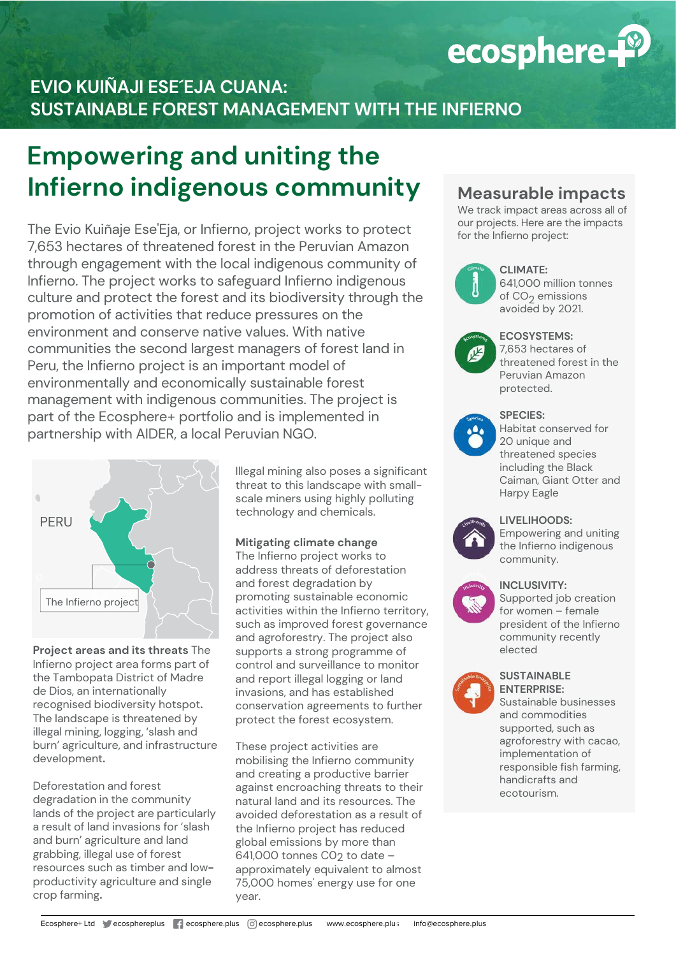

# **EVIO KUIÑAJI ESE´EJA CUANA: SUSTAINABLE FOREST MANAGEMENT WITH THE INFIERNO**

# **Empowering and uniting the Infierno indigenous community**

The Evio Kuiñaje Ese'Eja, or Infierno, project works to protect 7,653 hectares of threatened forest in the Peruvian Amazon through engagement with the local indigenous community of Infierno. The project works to safeguard Infierno indigenous culture and protect the forest and its biodiversity through the promotion of activities that reduce pressures on the environment and conserve native values. With native communities the second largest managers of forest land in Peru, the Infierno project is an important model of environmentally and economically sustainable forest management with indigenous communities. The project is part of the Ecosphere+ portfolio and is implemented in partnership with AIDER, a local Peruvian NGO.



**Project areas and its threats** The Infierno project area forms part of the Tambopata District of Madre de Dios, an internationally recognised biodiversity hotspot**.**  The landscape is threatened by illegal mining, logging, 'slash and burn' agriculture, and infrastructure development**.** 

Deforestation and forest degradation in the community lands of the project are particularly a result of land invasions for 'slash and burn' agriculture and land grabbing, illegal use of forest resources such as timber and lowproductivity agriculture and single crop farming**.**

Illegal mining also poses a significant threat to this landscape with smallscale miners using highly polluting technology and chemicals.

## **Mitigating climate change**

The Infierno project works to address threats of deforestation and forest degradation by promoting sustainable economic activities within the Infierno territory, such as improved forest governance and agroforestry. The project also supports a strong programme of control and surveillance to monitor and report illegal logging or land invasions, and has established conservation agreements to further protect the forest ecosystem.

These project activities are mobilising the Infierno community and creating a productive barrier against encroaching threats to their natural land and its resources. The avoided deforestation as a result of the Infierno project has reduced global emissions by more than 641,000 tonnes C02 to date approximately equivalent to almost 75,000 homes' energy use for one year.

# **Measurable impacts**

We track impact areas across all of our projects. Here are the impacts for the Infierno project:



#### **CLIMATE:**

641,000 million tonnes of CO<sub>2</sub> emissions avoided by 2021.



#### **ECOSYSTEMS:**

7,653 hectares of threatened forest in the Peruvian Amazon protected.



#### **SPECIES:**

Habitat conserved for 20 unique and threatened species including the Black Caiman, Giant Otter and Harpy Eagle



# **LIVELIHOODS:**

Empowering and uniting the Infierno indigenous community.



## **INCLUSIVITY:**

Supported job creation for women – female president of the Infierno community recently elected

#### **SUSTAINABLE ENTERPRISE:**

Sustainable businesses and commodities supported, such as agroforestry with cacao, implementation of responsible fish farming, handicrafts and ecotourism.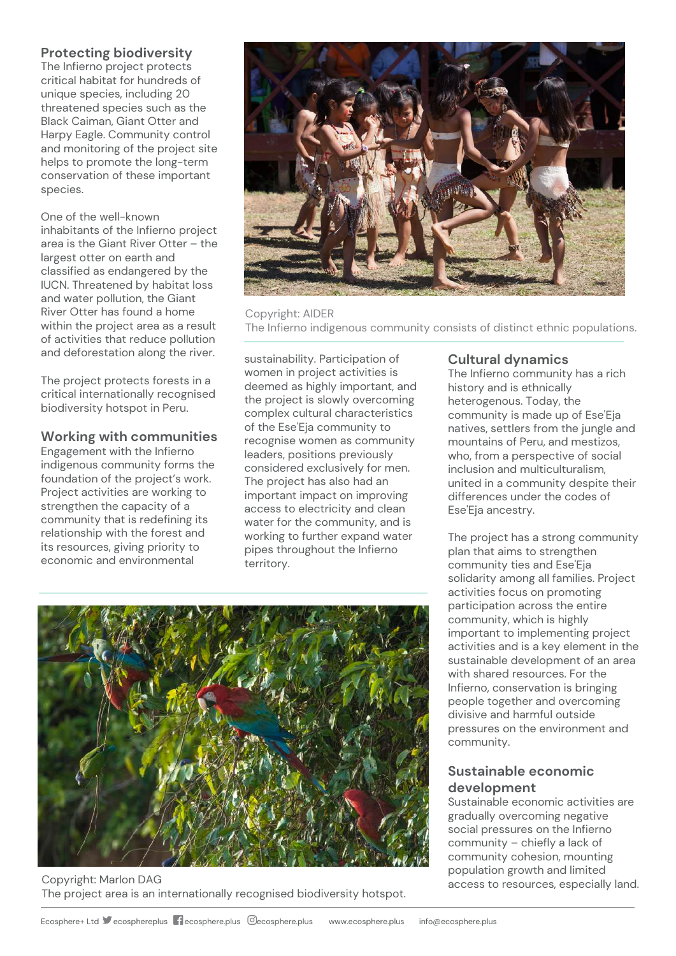# **Protecting biodiversity**

The Infierno project protects critical habitat for hundreds of unique species, including 20 threatened species such as the Black Caiman, Giant Otter and Harpy Eagle. Community control and monitoring of the project site helps to promote the long-term conservation of these important species.

One of the well-known inhabitants of the Infierno project area is the Giant River Otter – the largest otter on earth and classified as endangered by the IUCN. Threatened by habitat loss and water pollution, the Giant River Otter has found a home within the project area as a result of activities that reduce pollution and deforestation along the river.

The project protects forests in a critical internationally recognised biodiversity hotspot in Peru.

# **Working with communities**

Engagement with the Infierno indigenous community forms the foundation of the project's work. Project activities are working to strengthen the capacity of a community that is redefining its relationship with the forest and its resources, giving priority to economic and environmental



Copyright: AIDER The Infierno indigenous community consists of distinct ethnic populations.

sustainability. Participation of women in project activities is deemed as highly important, and the project is slowly overcoming complex cultural characteristics of the Ese'Eja community to recognise women as community leaders, positions previously considered exclusively for men. The project has also had an important impact on improving access to electricity and clean water for the community, and is working to further expand water pipes throughout the Infierno territory.

# **Cultural dynamics**

The Infierno community has a rich history and is ethnically heterogenous. Today, the community is made up of Ese'Eja natives, settlers from the jungle and mountains of Peru, and mestizos, who, from a perspective of social inclusion and multiculturalism, united in a community despite their differences under the codes of Ese'Eja ancestry.

The project has a strong community plan that aims to strengthen community ties and Ese'Eja solidarity among all families. Project activities focus on promoting participation across the entire community, which is highly important to implementing project activities and is a key element in the sustainable development of an area with shared resources. For the Infierno, conservation is bringing people together and overcoming divisive and harmful outside pressures on the environment and community.

# **Sustainable economic development**

Sustainable economic activities are gradually overcoming negative social pressures on the Infierno community – chiefly a lack of community cohesion, mounting population growth and limited access to resources, especially land.



Copyright: Marlon DAG The project area is an internationally recognised biodiversity hotspot.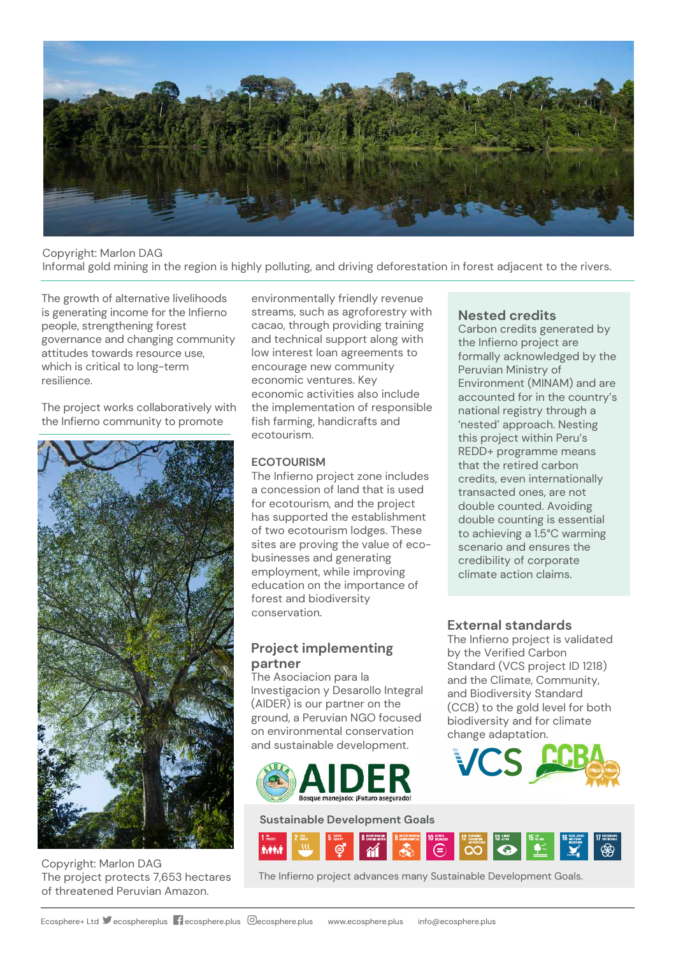

# Copyright: Marlon DAG Informal gold mining in the region is highly polluting, and driving deforestation in forest adjacent to the rivers.

The growth of alternative livelihoods is generating income for the Infierno people, strengthening forest governance and changing community attitudes towards resource use, which is critical to long-term resilience.

The project works collaboratively with the Infierno community to promote



Copyright: Marlon DAG The project protects 7,653 hectares of threatened Peruvian Amazon.

environmentally friendly revenue streams, such as agroforestry with cacao, through providing training and technical support along with low interest loan agreements to encourage new community economic ventures. Key economic activities also include the implementation of responsible fish farming, handicrafts and ecotourism.

## **ECOTOURISM**

The Infierno project zone includes a concession of land that is used for ecotourism, and the project has supported the establishment of two ecotourism lodges. These sites are proving the value of ecobusinesses and generating employment, while improving education on the importance of forest and biodiversity conservation.

# **Project implementing partner**

The Asociacion para la Investigacion y Desarollo Integral (AIDER) is our partner on the ground, a Peruvian NGO focused on environmental conservation and sustainable development.



#### **Sustainable Development Goals**



The Infierno project advances many Sustainable Development Goals.

# **Nested credits**

Carbon credits generated by the Infierno project are formally acknowledged by the Peruvian Ministry of Environment (MINAM) and are accounted for in the country's national registry through a 'nested' approach. Nesting this project within Peru's REDD+ programme means that the retired carbon credits, even internationally transacted ones, are not double counted. Avoiding double counting is essential to achieving a 1.5°C warming scenario and ensures the credibility of corporate climate action claims.

## **External standards**

The Infierno project is validated by the Verified Carbon Standard (VCS project ID 1218) and the Climate, Community, and Biodiversity Standard (CCB) to the gold level for both biodiversity and for climate change adaptation.